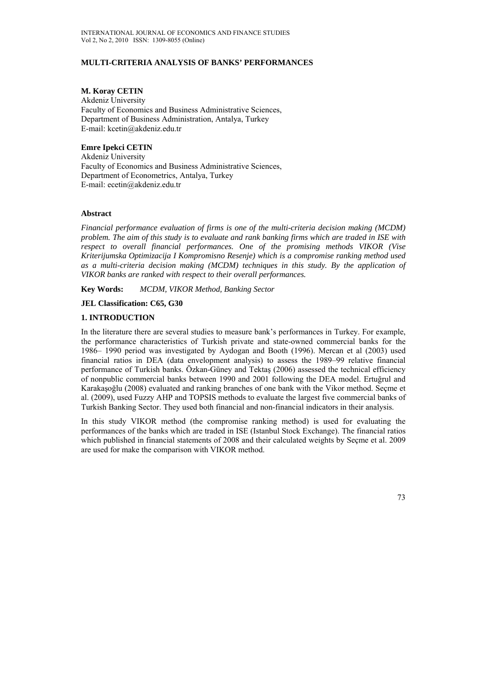### **MULTI-CRITERIA ANALYSIS OF BANKS' PERFORMANCES**

#### **M. Koray CETIN**

Akdeniz University Faculty of Economics and Business Administrative Sciences, Department of Business Administration, Antalya, Turkey E-mail: kcetin@akdeniz.edu.tr

## **Emre Ipekci CETIN**

Akdeniz University Faculty of Economics and Business Administrative Sciences, Department of Econometrics, Antalya, Turkey E-mail: ecetin@akdeniz.edu.tr

#### **Abstract**

*Financial performance evaluation of firms is one of the multi-criteria decision making (MCDM) problem. The aim of this study is to evaluate and rank banking firms which are traded in ISE with respect to overall financial performances. One of the promising methods VIKOR (Vise Kriterijumska Optimizacija I Kompromisno Resenje) which is a compromise ranking method used as a multi-criteria decision making (MCDM) techniques in this study. By the application of VIKOR banks are ranked with respect to their overall performances.* 

**Key Words:** *MCDM, VIKOR Method, Banking Sector* 

**JEL Classification: C65, G30**

## **1. INTRODUCTION**

In the literature there are several studies to measure bank's performances in Turkey. For example, the performance characteristics of Turkish private and state-owned commercial banks for the 1986– 1990 period was investigated by Aydogan and Booth (1996). Mercan et al (2003) used financial ratios in DEA (data envelopment analysis) to assess the 1989–99 relative financial performance of Turkish banks. Özkan-Güney and Tektaş (2006) assessed the technical efficiency of nonpublic commercial banks between 1990 and 2001 following the DEA model. Ertuğrul and Karakaşoğlu (2008) evaluated and ranking branches of one bank with the Vikor method. Seçme et al. (2009), used Fuzzy AHP and TOPSIS methods to evaluate the largest five commercial banks of Turkish Banking Sector. They used both financial and non-financial indicators in their analysis.

In this study VIKOR method (the compromise ranking method) is used for evaluating the performances of the banks which are traded in ISE (Istanbul Stock Exchange). The financial ratios which published in financial statements of 2008 and their calculated weights by Secme et al. 2009 are used for make the comparison with VIKOR method.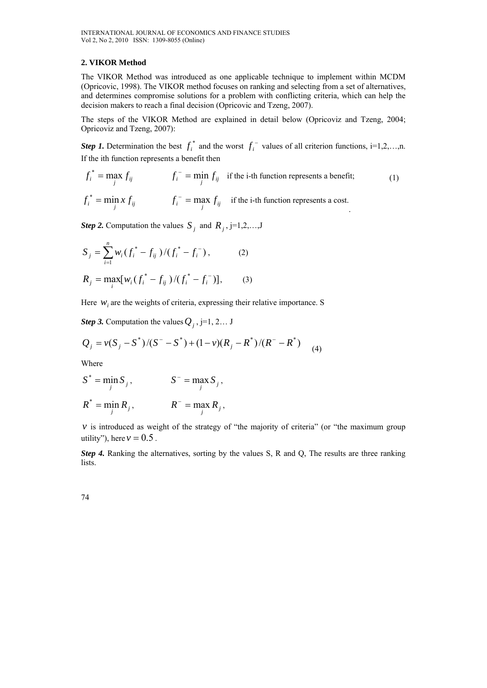#### **2. VIKOR Method**

The VIKOR Method was introduced as one applicable technique to implement within MCDM (Opricovic, 1998). The VIKOR method focuses on ranking and selecting from a set of alternatives, and determines compromise solutions for a problem with conflicting criteria, which can help the decision makers to reach a final decision (Opricovic and Tzeng, 2007).

The steps of the VIKOR Method are explained in detail below (Opricoviz and Tzeng, 2004; Opricoviz and Tzeng, 2007):

*Step 1*. Determination the best  $f_i^*$  and the worst  $f_i^-$  values of all criterion functions, i=1,2,…,n. If the ith function represents a benefit then

$$
f_i^* = \max_j f_{ij}
$$
  $f_i^- = \min_j f_{ij}$  if the i-th function represents a benefit; (1)

 $f_i^* = \min_j x f_{ij}$  *f<sub>i</sub>* =  $\max_j f_{ij}$ if the i-th function represents a cost. .

*Step 2.* Computation the values  $S_i$  and  $R_j$ , j=1,2,...,J

$$
S_{j} = \sum_{i=1}^{n} w_{i} (f_{i}^{*} - f_{ij}) / (f_{i}^{*} - f_{i}^{-}),
$$
\n
$$
R_{j} = \max_{i} [w_{i} (f_{i}^{*} - f_{ij}) / (f_{i}^{*} - f_{i}^{-})],
$$
\n(2)

Here  $w_i$  are the weights of criteria, expressing their relative importance. S

*Step 3.* Computation the values  $Q_i$ , j=1, 2... J

$$
Q_j = v(S_j - S^*)/(S^* - S^*) + (1 - v)(R_j - R^*)/(R^* - R^*)
$$
 (4)

Where

$$
S^* = \min_j S_j, \qquad \qquad S^- = \max_j S_j,
$$

$$
R^* = \min_j R_j, \qquad R^- = \max_j R_j,
$$

 $\nu$  is introduced as weight of the strategy of "the majority of criteria" (or "the maximum group utility"), here  $v = 0.5$ .

*Step 4.* Ranking the alternatives, sorting by the values S, R and Q, The results are three ranking lists.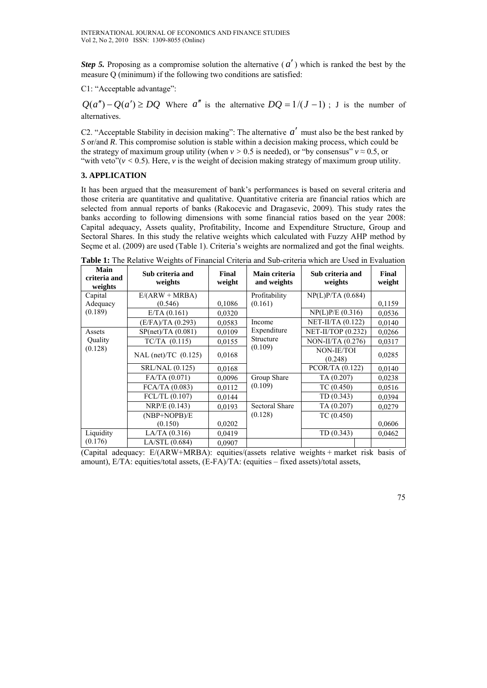*Step 5.* Proposing as a compromise solution the alternative  $(a')$  which is ranked the best by the measure Q (minimum) if the following two conditions are satisfied:

C1: "Acceptable advantage":

 $Q(a'') - Q(a') \geq DQ$  Where *a*<sup>″</sup> is the alternative  $DQ = 1/(J-1)$ ; J is the number of alternatives.

C2. "Acceptable Stability in decision making": The alternative *a*′ must also be the best ranked by *S* or/and *R*. This compromise solution is stable within a decision making process, which could be the strategy of maximum group utility (when  $v > 0.5$  is needed), or "by consensus"  $v \approx 0.5$ , or "with veto" $(v < 0.5)$ . Here, *v* is the weight of decision making strategy of maximum group utility.

# **3. APPLICATION**

It has been argued that the measurement of bank's performances is based on several criteria and those criteria are quantitative and qualitative. Quantitative criteria are financial ratios which are selected from annual reports of banks (Rakocevic and Dragasevic, 2009). This study rates the banks according to following dimensions with some financial ratios based on the year 2008: Capital adequacy, Assets quality, Profitability, Income and Expenditure Structure, Group and Sectoral Shares. In this study the relative weights which calculated with Fuzzy AHP method by Seçme et al. (2009) are used (Table 1). Criteria's weights are normalized and got the final weights.

| Main<br>criteria and<br>weights | Sub criteria and<br>weights | Final<br>weight | Main criteria<br>and weights | Sub criteria and<br>weights | Final<br>weight |
|---------------------------------|-----------------------------|-----------------|------------------------------|-----------------------------|-----------------|
| Capital                         | $E/(ARW + MRBA)$            |                 | Profitability                | NP(L)P/TA (0.684)           |                 |
| Adequacy                        | (0.546)                     | 0,1086          | (0.161)                      |                             | 0.1159          |
| (0.189)                         | E/TA (0.161)                | 0,0320          |                              | NP(L)P/E (0.316)            | 0,0536          |
|                                 | (E/FA)/TA (0.293)           | 0.0583          | Income                       | NET-II/TA (0.122)           | 0,0140          |
| Assets<br>Quality<br>(0.128)    | SP(net)/TA(0.081)           | 0,0109          | Expenditure                  | NET-II/TOP (0.232)          | 0,0266          |
|                                 | $TC/TA$ $(0.115)$           | 0.0155          | Structure                    | NON-II/TA (0.276)           | 0.0317          |
|                                 | NAL (net)/TC $(0.125)$      | 0.0168          | (0.109)                      | NON-IE/TOI<br>(0.248)       | 0.0285          |
|                                 | SRL/NAL (0.125)             | 0.0168          |                              | PCOR/TA (0.122)             | 0,0140          |
|                                 | FA/TA (0.071)               | 0.0096          | Group Share                  | TA (0.207)                  | 0.0238          |
|                                 | FCA/TA (0.083)              | 0.0112          | (0.109)                      | TC(0.450)                   | 0.0516          |
|                                 | FCL/TL (0.107)              | 0,0144          |                              | TD(0.343)                   | 0.0394          |
|                                 | NRP/E (0.143)               | 0.0193          | <b>Sectoral Share</b>        | TA (0.207)                  | 0,0279          |
|                                 | $(NBP+NOPB)/E$              |                 | (0.128)                      | TC(0.450)                   |                 |
|                                 | (0.150)                     | 0,0202          |                              |                             | 0,0606          |
| Liquidity                       | LA/TA (0.316)               | 0,0419          |                              | TD(0.343)                   | 0,0462          |
| (0.176)                         | LA/STL (0.684)              | 0,0907          |                              |                             |                 |

**Table 1:** The Relative Weights of Financial Criteria and Sub-criteria which are Used in Evaluation

(Capital adequacy: E/(ARW+MRBA): equities/(assets relative weights + market risk basis of amount), E/TA: equities/total assets, (E-FA)/TA: (equities – fixed assets)/total assets,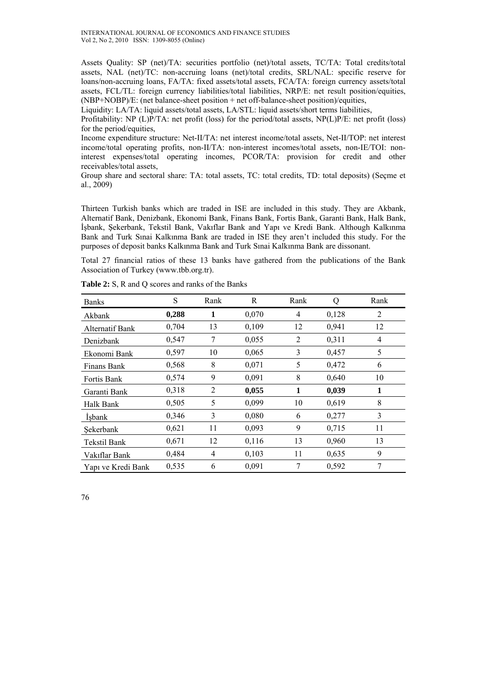INTERNATIONAL JOURNAL OF ECONOMICS AND FINANCE STUDIES Vol 2, No 2, 2010 ISSN: 1309-8055 (Online)

Assets Quality: SP (net)/TA: securities portfolio (net)/total assets, TC/TA: Total credits/total assets, NAL (net)/TC: non-accruing loans (net)/total credits, SRL/NAL: specific reserve for loans/non-accruing loans, FA/TA: fixed assets/total assets, FCA/TA: foreign currency assets/total assets, FCL/TL: foreign currency liabilities/total liabilities, NRP/E: net result position/equities, (NBP+NOBP)/E: (net balance-sheet position + net off-balance-sheet position)/equities,

Liquidity: LA/TA: liquid assets/total assets, LA/STL: liquid assets/short terms liabilities,

Profitability: NP (L)P/TA: net profit (loss) for the period/total assets, NP(L)P/E: net profit (loss) for the period/equities,

Income expenditure structure: Net-II/TA: net interest income/total assets, Net-II/TOP: net interest income/total operating profits, non-II/TA: non-interest incomes/total assets, non-IE/TOI: noninterest expenses/total operating incomes, PCOR/TA: provision for credit and other receivables/total assets,

Group share and sectoral share: TA: total assets, TC: total credits, TD: total deposits) (Seçme et al., 2009)

Thirteen Turkish banks which are traded in ISE are included in this study. They are Akbank, Alternatif Bank, Denizbank, Ekonomi Bank, Finans Bank, Fortis Bank, Garanti Bank, Halk Bank, İşbank, Şekerbank, Tekstil Bank, Vakıflar Bank and Yapı ve Kredi Bank. Although Kalkınma Bank and Turk Sınai Kalkınma Bank are traded in ISE they aren't included this study. For the purposes of deposit banks Kalkınma Bank and Turk Sınai Kalkınma Bank are dissonant.

Total 27 financial ratios of these 13 banks have gathered from the publications of the Bank Association of Turkey (www.tbb.org.tr).

| <b>Banks</b>           | S     | Rank           | R     | Rank | О     | Rank |
|------------------------|-------|----------------|-------|------|-------|------|
| Akbank                 | 0,288 | 1              | 0,070 | 4    | 0,128 | 2    |
| <b>Alternatif Bank</b> | 0,704 | 13             | 0,109 | 12   | 0,941 | 12   |
| Denizbank              | 0,547 | 7              | 0,055 | 2    | 0,311 | 4    |
| Ekonomi Bank           | 0,597 | 10             | 0,065 | 3    | 0,457 | 5    |
| Finans Bank            | 0,568 | 8              | 0,071 | 5    | 0,472 | 6    |
| Fortis Bank            | 0,574 | 9              | 0,091 | 8    | 0,640 | 10   |
| Garanti Bank           | 0,318 | $\overline{2}$ | 0,055 | 1    | 0,039 | 1    |
| Halk Bank              | 0,505 | 5              | 0,099 | 10   | 0,619 | 8    |
| Isbank                 | 0,346 | 3              | 0,080 | 6    | 0,277 | 3    |
| Sekerbank              | 0,621 | 11             | 0,093 | 9    | 0,715 | 11   |
| Tekstil Bank           | 0,671 | 12             | 0,116 | 13   | 0,960 | 13   |
| Vakıflar Bank          | 0,484 | 4              | 0,103 | 11   | 0,635 | 9    |
| Yapı ve Kredi Bank     | 0,535 | 6              | 0,091 | 7    | 0,592 | 7    |

Table 2: S, R and O scores and ranks of the Banks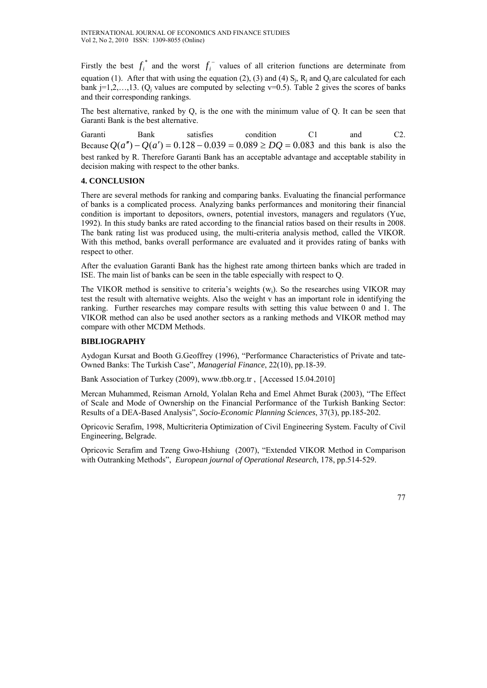Firstly the best  $f_i^*$  and the worst  $f_i^-$  values of all criterion functions are determinate from equation (1). After that with using the equation (2), (3) and (4)  $S_i$ ,  $R_i$  and  $Q_i$  are calculated for each bank  $j=1,2,...,13$ . (Q<sub>j</sub> values are computed by selecting  $v=0.5$ ). Table 2 gives the scores of banks and their corresponding rankings.

The best alternative, ranked by Q, is the one with the minimum value of Q. It can be seen that Garanti Bank is the best alternative.

Garanti Bank satisfies condition C1 and C2. Because  $Q(a'') - Q(a') = 0.128 - 0.039 = 0.089 ≥ DQ = 0.083$  and this bank is also the best ranked by R. Therefore Garanti Bank has an acceptable advantage and acceptable stability in decision making with respect to the other banks.

# **4. CONCLUSION**

There are several methods for ranking and comparing banks. Evaluating the financial performance of banks is a complicated process. Analyzing banks performances and monitoring their financial condition is important to depositors, owners, potential investors, managers and regulators (Yue, 1992). In this study banks are rated according to the financial ratios based on their results in 2008. The bank rating list was produced using, the multi-criteria analysis method, called the VIKOR. With this method, banks overall performance are evaluated and it provides rating of banks with respect to other.

After the evaluation Garanti Bank has the highest rate among thirteen banks which are traded in ISE. The main list of banks can be seen in the table especially with respect to Q.

The VIKOR method is sensitive to criteria's weights  $(w_i)$ . So the researches using VIKOR may test the result with alternative weights. Also the weight v has an important role in identifying the ranking. Further researches may compare results with setting this value between 0 and 1. The VIKOR method can also be used another sectors as a ranking methods and VIKOR method may compare with other MCDM Methods.

# **BIBLIOGRAPHY**

Aydogan Kursat and Booth G.Geoffrey (1996), "Performance Characteristics of Private and tate-Owned Banks: The Turkish Case", *Managerial Finance*, 22(10), pp.18-39.

Bank Association of Turkey (2009), www.tbb.org.tr , [Accessed 15.04.2010]

Mercan Muhammed, Reisman Arnold, Yolalan Reha and Emel Ahmet Burak (2003), "The Effect of Scale and Mode of Ownership on the Financial Performance of the Turkish Banking Sector: Results of a DEA-Based Analysis", *Socio-Economic Planning Sciences*, 37(3), pp.185-202.

Opricovic Serafim, 1998, Multicriteria Optimization of Civil Engineering System. Faculty of Civil Engineering, Belgrade.

Opricovic Serafim and Tzeng Gwo-Hshiung (2007), "Extended VIKOR Method in Comparison with Outranking Methods", *European journal of Operational Research*, 178, pp.514-529.